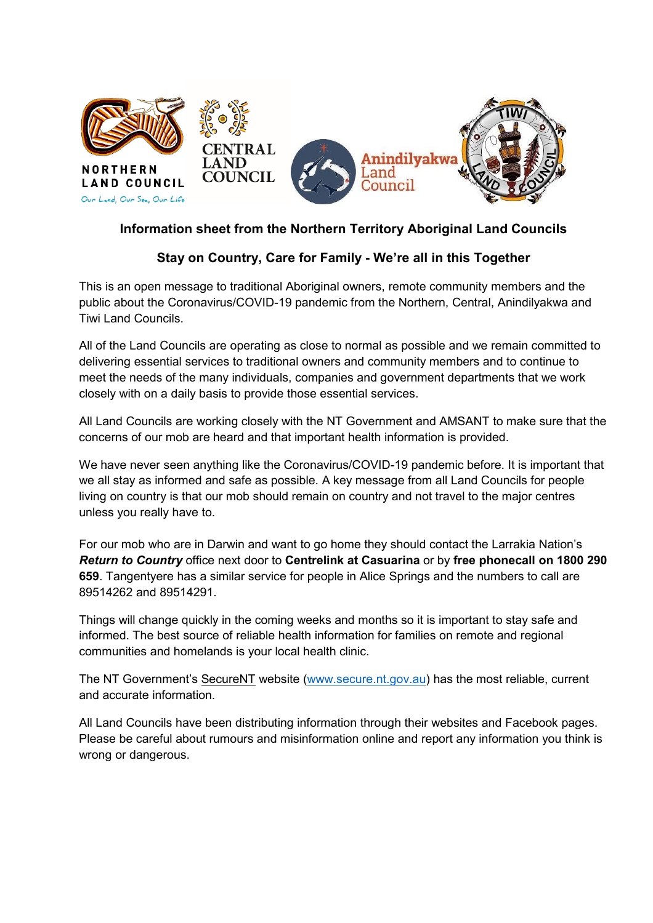

## **Information sheet from the Northern Territory Aboriginal Land Councils**

# **Stay on Country, Care for Family - We're all in this Together**

This is an open message to traditional Aboriginal owners, remote community members and the public about the Coronavirus/COVID-19 pandemic from the Northern, Central, Anindilyakwa and Tiwi Land Councils.

All of the Land Councils are operating as close to normal as possible and we remain committed to delivering essential services to traditional owners and community members and to continue to meet the needs of the many individuals, companies and government departments that we work closely with on a daily basis to provide those essential services.

All Land Councils are working closely with the NT Government and AMSANT to make sure that the concerns of our mob are heard and that important health information is provided.

We have never seen anything like the Coronavirus/COVID-19 pandemic before. It is important that we all stay as informed and safe as possible. A key message from all Land Councils for people living on country is that our mob should remain on country and not travel to the major centres unless you really have to.

For our mob who are in Darwin and want to go home they should contact the Larrakia Nation's *Return to Country* office next door to **Centrelink at Casuarina** or by **free phonecall on 1800 290 659**. Tangentyere has a similar service for people in Alice Springs and the numbers to call are 89514262 and 89514291.

Things will change quickly in the coming weeks and months so it is important to stay safe and informed. The best source of reliable health information for families on remote and regional communities and homelands is your local health clinic.

The NT Government's SecureNT website [\(www.secure.nt.gov.au\)](http://www.secure.nt.gov.au/) has the most reliable, current and accurate information.

All Land Councils have been distributing information through their websites and Facebook pages. Please be careful about rumours and misinformation online and report any information you think is wrong or dangerous.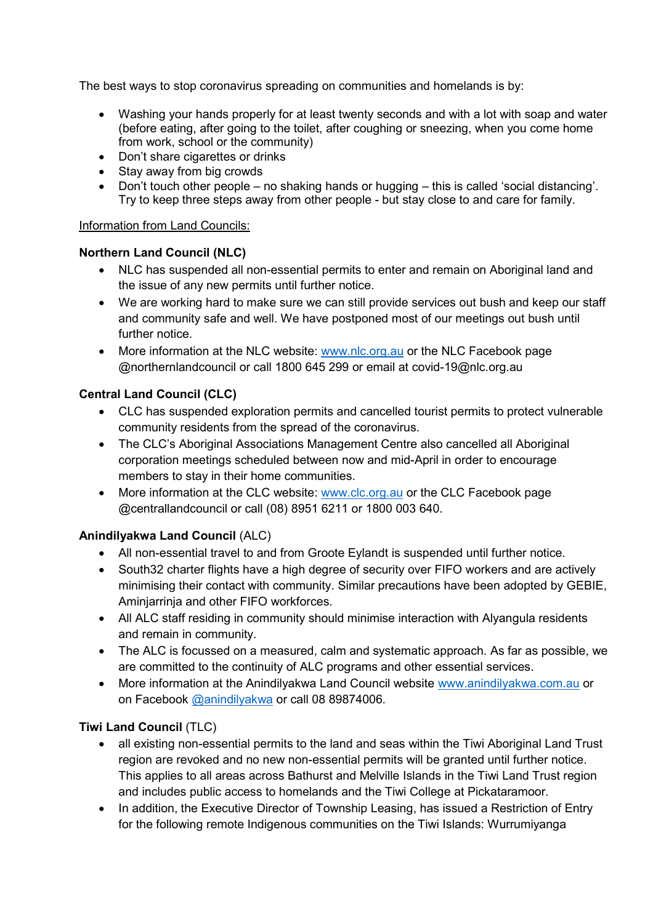The best ways to stop coronavirus spreading on communities and homelands is by:

- Washing your hands properly for at least twenty seconds and with a lot with soap and water (before eating, after going to the toilet, after coughing or sneezing, when you come home from work, school or the community)
- Don't share cigarettes or drinks
- Stay away from big crowds
- Don't touch other people no shaking hands or hugging this is called 'social distancing'. Try to keep three steps away from other people - but stay close to and care for family.

#### Information from Land Councils:

#### **Northern Land Council (NLC)**

- NLC has suspended all non-essential permits to enter and remain on Aboriginal land and the issue of any new permits until further notice.
- We are working hard to make sure we can still provide services out bush and keep our staff and community safe and well. We have postponed most of our meetings out bush until further notice.
- More information at the NLC website: [www.nlc.org.au](http://www.nlc.org.au/) or the NLC Facebook page @northernlandcouncil or call 1800 645 299 or email at covid-19@nlc.org.au

## **Central Land Council (CLC)**

- CLC has suspended exploration permits and cancelled tourist permits to protect vulnerable community residents from the spread of the coronavirus.
- The CLC's Aboriginal Associations Management Centre also cancelled all Aboriginal corporation meetings scheduled between now and mid-April in order to encourage members to stay in their home communities.
- More information at the CLC website: [www.clc.org.au](http://www.clc.org.au/) or the CLC Facebook page @centrallandcouncil or call (08) 8951 6211 or 1800 003 640.

## **Anindilyakwa Land Council** (ALC)

- All non-essential travel to and from Groote Eylandt is suspended until further notice.
- South32 charter flights have a high degree of security over FIFO workers and are actively minimising their contact with community. Similar precautions have been adopted by GEBIE, Aminjarrinja and other FIFO workforces.
- All ALC staff residing in community should minimise interaction with Alyangula residents and remain in community.
- The ALC is focussed on a measured, calm and systematic approach. As far as possible, we are committed to the continuity of ALC programs and other essential services.
- More information at the Anindilyakwa Land Council website [www.anindilyakwa.com.au](https://www.anindilyakwa.com.au/) or on Facebook @anindilyakwa or call 08 89874006.

## **Tiwi Land Council** (TLC)

- all existing non-essential permits to the land and seas within the Tiwi Aboriginal Land Trust region are revoked and no new non-essential permits will be granted until further notice. This applies to all areas across Bathurst and Melville Islands in the Tiwi Land Trust region and includes public access to homelands and the Tiwi College at Pickataramoor.
- In addition, the Executive Director of Township Leasing, has issued a Restriction of Entry for the following remote Indigenous communities on the Tiwi Islands: Wurrumiyanga